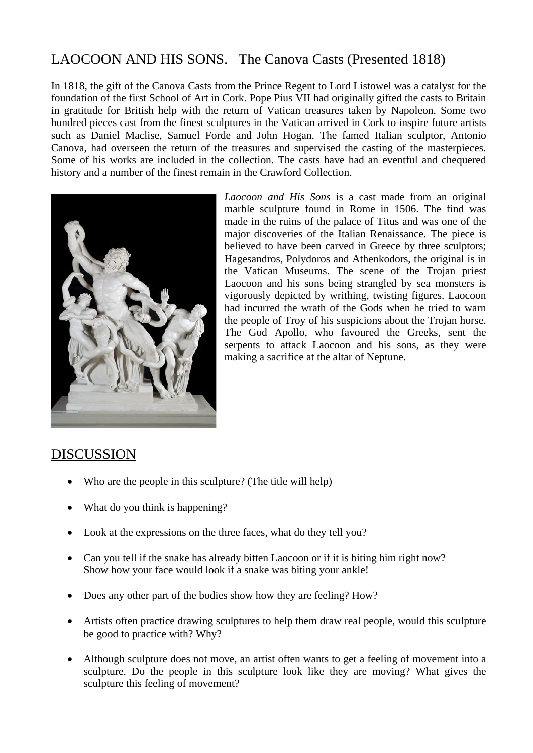## LAOCOON AND HIS SONS. The Canova Casts (Presented 1818)

In 1818, the gift of the Canova Casts from the Prince Regent to Lord Listowel was a catalyst for the foundation of the first School of Art in Cork. Pope Pius VII had originally gifted the casts to Britain in gratitude for British help with the return of Vatican treasures taken by Napoleon. Some two hundred pieces cast from the finest sculptures in the Vatican arrived in Cork to inspire future artists such as Daniel Maclise, Samuel Forde and John Hogan. The famed Italian sculptor, Antonio Canova, had overseen the return of the treasures and supervised the casting of the masterpieces. Some of his works are included in the collection. The casts have had an eventful and chequered history and a number of the finest remain in the Crawford Collection.



*Laocoon and His Sons* is a cast made from an original marble sculpture found in Rome in 1506. The find was made in the ruins of the palace of Titus and was one of the major discoveries of the Italian Renaissance. The piece is believed to have been carved in Greece by three sculptors; Hagesandros, Polydoros and Athenkodors, the original is in the Vatican Museums. The scene of the Trojan priest Laocoon and his sons being strangled by sea monsters is vigorously depicted by writhing, twisting figures. Laocoon had incurred the wrath of the Gods when he tried to warn the people of Troy of his suspicions about the Trojan horse. The God Apollo, who favoured the Greeks, sent the serpents to attack Laocoon and his sons, as they were making a sacrifice at the altar of Neptune.

## DISCUSSION

- Who are the people in this sculpture? (The title will help)
- What do you think is happening?
- Look at the expressions on the three faces, what do they tell you?
- Can you tell if the snake has already bitten Laocoon or if it is biting him right now? Show how your face would look if a snake was biting your ankle!
- Does any other part of the bodies show how they are feeling? How?
- Artists often practice drawing sculptures to help them draw real people, would this sculpture be good to practice with? Why?
- Although sculpture does not move, an artist often wants to get a feeling of movement into a sculpture. Do the people in this sculpture look like they are moving? What gives the sculpture this feeling of movement?